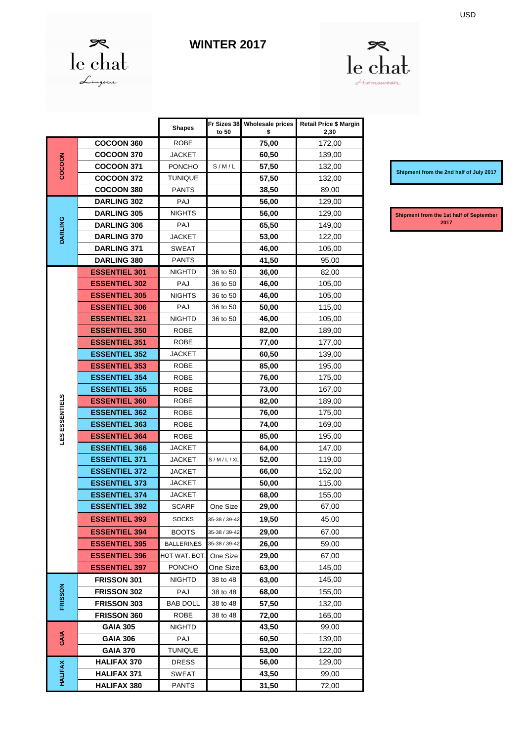

## **WINTER 2017**



|                |                      | <b>Shapes</b>     | Fr Sizes 38<br>to 50 | <b>Wholesale prices</b><br>\$ | <b>Retail Price \$ Margin</b><br>2,30 |
|----------------|----------------------|-------------------|----------------------|-------------------------------|---------------------------------------|
| COCOON         | <b>COCOON 360</b>    | <b>ROBE</b>       |                      | 75,00                         | 172,00                                |
|                | <b>COCOON 370</b>    | JACKET            |                      | 60,50                         | 139,00                                |
|                | <b>COCOON 371</b>    | <b>PONCHO</b>     | S/M/L                | 57,50                         | 132,00                                |
|                | <b>COCOON 372</b>    | TUNIQUE           |                      | 57,50                         | 132,00                                |
|                | <b>COCOON 380</b>    | <b>PANTS</b>      |                      | 38,50                         | 89,00                                 |
| <b>DARLING</b> | DARLING 302          | PAJ               |                      | 56,00                         | 129,00                                |
|                | <b>DARLING 305</b>   | NIGHTS            |                      | 56,00                         | 129,00                                |
|                | <b>DARLING 306</b>   | PAJ               |                      | 65,50                         | 149,00                                |
|                | <b>DARLING 370</b>   | <b>JACKET</b>     |                      | 53,00                         | 122,00                                |
|                | <b>DARLING 371</b>   | <b>SWEAT</b>      |                      | 46,00                         | 105,00                                |
|                | <b>DARLING 380</b>   | <b>PANTS</b>      |                      | 41,50                         | 95,00                                 |
|                | <b>ESSENTIEL 301</b> | <b>NIGHTD</b>     | 36 to 50             | 36,00                         | 82,00                                 |
|                | <b>ESSENTIEL 302</b> | PAJ               | 36 to 50             | 46,00                         | 105,00                                |
|                | <b>ESSENTIEL 305</b> | NIGHTS            | 36 to 50             | 46,00                         | 105,00                                |
|                | <b>ESSENTIEL 306</b> | PAJ               | 36 to 50             | 50,00                         | 115,00                                |
|                | <b>ESSENTIEL 321</b> | <b>NIGHTD</b>     | 36 to 50             | 46,00                         | 105,00                                |
|                | <b>ESSENTIEL 350</b> | <b>ROBE</b>       |                      | 82,00                         | 189,00                                |
|                | <b>ESSENTIEL 351</b> | <b>ROBE</b>       |                      | 77,00                         | 177,00                                |
|                | <b>ESSENTIEL 352</b> | <b>JACKET</b>     |                      | 60,50                         | 139,00                                |
|                | <b>ESSENTIEL 353</b> | ROBE              |                      | 85,00                         | 195,00                                |
|                | <b>ESSENTIEL 354</b> | <b>ROBE</b>       |                      | 76,00                         | 175,00                                |
|                | <b>ESSENTIEL 355</b> | <b>ROBE</b>       |                      | 73,00                         | 167,00                                |
| LES ESSENTIELS | <b>ESSENTIEL 360</b> | <b>ROBE</b>       |                      | 82,00                         | 189,00                                |
|                | <b>ESSENTIEL 362</b> | <b>ROBE</b>       |                      | 76,00                         | 175,00                                |
|                | <b>ESSENTIEL 363</b> | <b>ROBE</b>       |                      | 74,00                         | 169,00                                |
|                | <b>ESSENTIEL 364</b> | ROBE              |                      | 85,00                         | 195,00                                |
|                | <b>ESSENTIEL 366</b> | JACKET            |                      | 64,00                         | 147,00                                |
|                | <b>ESSENTIEL 371</b> | <b>JACKET</b>     | S/M/L/XL             | 52,00                         | 119,00                                |
|                | <b>ESSENTIEL 372</b> | <b>JACKET</b>     |                      | 66,00                         | 152,00                                |
|                | <b>ESSENTIEL 373</b> | JACKET            |                      | 50,00                         | 115,00                                |
|                | <b>ESSENTIEL 374</b> | JACKET            |                      | 68,00                         | 155,00                                |
|                | <b>ESSENTIEL 392</b> | <b>SCARF</b>      | One Size             | 29,00                         | 67,00                                 |
|                | <b>ESSENTIEL 393</b> | SOCKS             | 35-38 / 39-42        | 19,50                         | 45,00                                 |
|                | <b>ESSENTIEL 394</b> | <b>BOOTS</b>      | 35-38 / 39-42        | 29,00                         | 67,00                                 |
|                | <b>ESSENTIEL 395</b> | <b>BALLERINES</b> | 35-38 / 39-42        | 26,00                         | 59,00                                 |
|                | <b>ESSENTIEL 396</b> | HOT WAT. BOT.     | One Size             | 29,00                         | 67,00                                 |
|                | <b>ESSENTIEL 397</b> | <b>PONCHO</b>     | One Size             | 63,00                         | 145,00                                |
|                | FRISSON 301          | <b>NIGHTD</b>     | 38 to 48             | 63,00                         | 145,00                                |
| FRISSON        | FRISSON 302          | PAJ               | 38 to 48             | 68,00                         | 155,00                                |
|                | FRISSON 303          | <b>BAB DOLL</b>   | 38 to 48             | 57,50                         | 132,00                                |
|                | FRISSON 360          | ROBE              | 38 to 48             | 72,00                         | 165,00                                |
| GAIA           | <b>GAIA 305</b>      | NIGHTD            |                      | 43,50                         | 99,00                                 |
|                | <b>GAIA 306</b>      | PAJ               |                      | 60,50                         | 139,00                                |
|                | <b>GAIA 370</b>      | <b>TUNIQUE</b>    |                      | 53,00                         | 122,00                                |
| <b>HALIFAX</b> | <b>HALIFAX 370</b>   | DRESS             |                      | 56,00                         | 129,00                                |
|                | <b>HALIFAX 371</b>   | SWEAT             |                      | 43,50                         | 99,00                                 |
|                | <b>HALIFAX 380</b>   | <b>PANTS</b>      |                      | 31,50                         | 72,00                                 |

**Shipment from the 2nd half of July 2017**

**Shipment from the 1st half of September 2017**